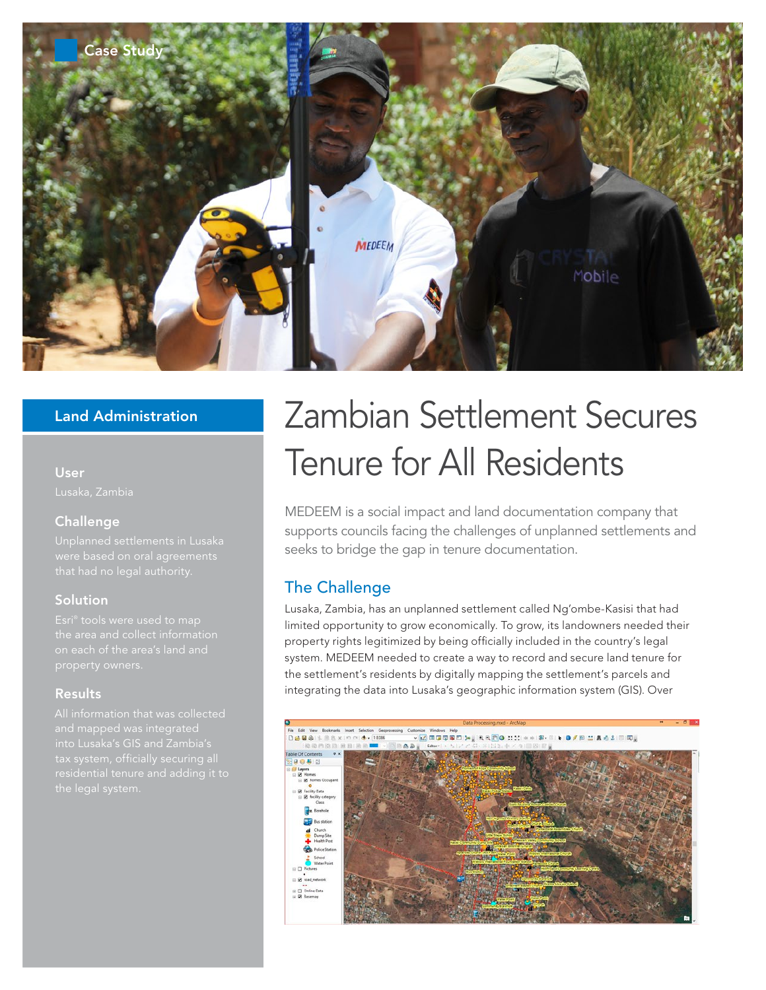

## Land Administration

### User

Lusaka, Zambia

### **Challenge**

#### Solution

Esri® tools were used to map on each of the area's land and

### **Results**

# Zambian Settlement Secures Tenure for All Residents

MEDEEM is a social impact and land documentation company that supports councils facing the challenges of unplanned settlements and seeks to bridge the gap in tenure documentation.

## The Challenge

Lusaka, Zambia, has an unplanned settlement called Ng'ombe-Kasisi that had limited opportunity to grow economically. To grow, its landowners needed their property rights legitimized by being officially included in the country's legal system. MEDEEM needed to create a way to record and secure land tenure for the settlement's residents by digitally mapping the settlement's parcels and integrating the data into Lusaka's geographic information system (GIS). Over